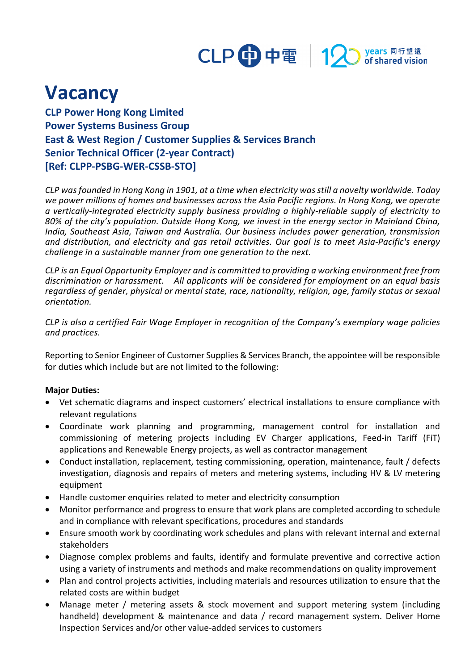

## **Vacancy**

**CLP Power Hong Kong Limited Power Systems Business Group East & West Region / Customer Supplies & Services Branch Senior Technical Officer (2-year Contract) [Ref: CLPP-PSBG-WER-CSSB-STO]**

*CLP was founded in Hong Kong in 1901, at a time when electricity was still a novelty worldwide. Today we power millions of homes and businesses across the Asia Pacific regions. In Hong Kong, we operate a vertically-integrated electricity supply business providing a highly-reliable supply of electricity to 80% of the city's population. Outside Hong Kong, we invest in the energy sector in Mainland China, India, Southeast Asia, Taiwan and Australia. Our business includes power generation, transmission and distribution, and electricity and gas retail activities. Our goal is to meet Asia-Pacific's energy challenge in a sustainable manner from one generation to the next.*

*CLP is an Equal Opportunity Employer and is committed to providing a working environment free from discrimination or harassment. All applicants will be considered for employment on an equal basis regardless of gender, physical or mental state, race, nationality, religion, age, family status or sexual orientation.*

*CLP is also a certified Fair Wage Employer in recognition of the Company's exemplary wage policies and practices.*

Reporting to Senior Engineer of Customer Supplies & Services Branch, the appointee will be responsible for duties which include but are not limited to the following:

## **Major Duties:**

- Vet schematic diagrams and inspect customers' electrical installations to ensure compliance with relevant regulations
- Coordinate work planning and programming, management control for installation and commissioning of metering projects including EV Charger applications, Feed-in Tariff (FiT) applications and Renewable Energy projects, as well as contractor management
- Conduct installation, replacement, testing commissioning, operation, maintenance, fault / defects investigation, diagnosis and repairs of meters and metering systems, including HV & LV metering equipment
- Handle customer enquiries related to meter and electricity consumption
- Monitor performance and progress to ensure that work plans are completed according to schedule and in compliance with relevant specifications, procedures and standards
- Ensure smooth work by coordinating work schedules and plans with relevant internal and external stakeholders
- Diagnose complex problems and faults, identify and formulate preventive and corrective action using a variety of instruments and methods and make recommendations on quality improvement
- Plan and control projects activities, including materials and resources utilization to ensure that the related costs are within budget
- Manage meter / metering assets & stock movement and support metering system (including handheld) development & maintenance and data / record management system. Deliver Home Inspection Services and/or other value-added services to customers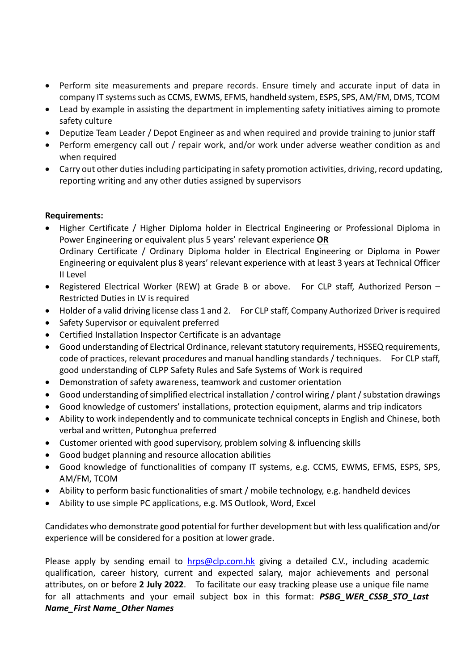- Perform site measurements and prepare records. Ensure timely and accurate input of data in company IT systems such as CCMS, EWMS, EFMS, handheld system, ESPS, SPS, AM/FM, DMS, TCOM
- Lead by example in assisting the department in implementing safety initiatives aiming to promote safety culture
- Deputize Team Leader / Depot Engineer as and when required and provide training to junior staff
- Perform emergency call out / repair work, and/or work under adverse weather condition as and when required
- Carry out other duties including participating in safety promotion activities, driving, record updating, reporting writing and any other duties assigned by supervisors

## **Requirements:**

- Higher Certificate / Higher Diploma holder in Electrical Engineering or Professional Diploma in Power Engineering or equivalent plus 5 years' relevant experience **OR** Ordinary Certificate / Ordinary Diploma holder in Electrical Engineering or Diploma in Power Engineering or equivalent plus 8 years' relevant experience with at least 3 years at Technical Officer II Level
- Registered Electrical Worker (REW) at Grade B or above. For CLP staff, Authorized Person Restricted Duties in LV is required
- Holder of a valid driving license class 1 and 2. For CLP staff, Company Authorized Driver is required
- Safety Supervisor or equivalent preferred
- Certified Installation Inspector Certificate is an advantage
- Good understanding of Electrical Ordinance, relevant statutory requirements, HSSEQ requirements, code of practices, relevant procedures and manual handling standards / techniques. For CLP staff, good understanding of CLPP Safety Rules and Safe Systems of Work is required
- Demonstration of safety awareness, teamwork and customer orientation
- Good understanding of simplified electrical installation / control wiring / plant / substation drawings
- Good knowledge of customers' installations, protection equipment, alarms and trip indicators
- Ability to work independently and to communicate technical concepts in English and Chinese, both verbal and written, Putonghua preferred
- Customer oriented with good supervisory, problem solving & influencing skills
- Good budget planning and resource allocation abilities
- Good knowledge of functionalities of company IT systems, e.g. CCMS, EWMS, EFMS, ESPS, SPS, AM/FM, TCOM
- Ability to perform basic functionalities of smart / mobile technology, e.g. handheld devices
- Ability to use simple PC applications, e.g. MS Outlook, Word, Excel

Candidates who demonstrate good potential for further development but with less qualification and/or experience will be considered for a position at lower grade.

Please apply by sending email to  $hrys@clp.com.hk$  giving a detailed C.V., including academic qualification, career history, current and expected salary, major achievements and personal attributes, on or before **2 July 2022**.To facilitate our easy tracking please use a unique file name for all attachments and your email subject box in this format: *PSBG\_WER\_CSSB\_STO\_Last Name\_First Name\_Other Names*